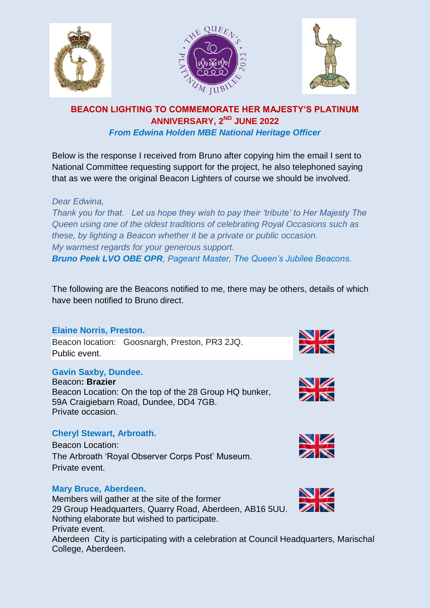





# **BEACON LIGHTING TO COMMEMORATE HER MAJESTY'S PLATINUM ANNIVERSARY, 2ND JUNE 2022** *From Edwina Holden MBE National Heritage Officer*

Below is the response I received from Bruno after copying him the email I sent to National Committee requesting support for the project, he also telephoned saying that as we were the original Beacon Lighters of course we should be involved.

# *Dear Edwina,*

*Thank you for that. Let us hope they wish to pay their 'tribute' to Her Majesty The Queen using one of the oldest traditions of celebrating Royal Occasions such as these, by lighting a Beacon whether it be a private or public occasion. My warmest regards for your generous support. Bruno Peek LVO OBE OPR, Pageant Master, The Queen's Jubilee Beacons.*

The following are the Beacons notified to me, there may be others, details of which have been notified to Bruno direct.

## **Elaine Norris, Preston.**

Beacon location: Goosnargh, Preston, PR3 2JQ. Public event.

# **Gavin Saxby, Dundee.**

Beacon**: Brazier** Beacon Location: On the top of the 28 Group HQ bunker, 59A Craigiebarn Road, Dundee, DD4 7GB. Private occasion.

## **Cheryl Stewart, Arbroath.**

Beacon Location: The Arbroath 'Royal Observer Corps Post' Museum. Private event.

## **Mary Bruce, Aberdeen.**

Members will gather at the site of the former 29 Group Headquarters, Quarry Road, Aberdeen, AB16 5UU. Nothing elaborate but wished to participate. Private event. Aberdeen City is participating with a celebration at Council Headquarters, Marischal College, Aberdeen.







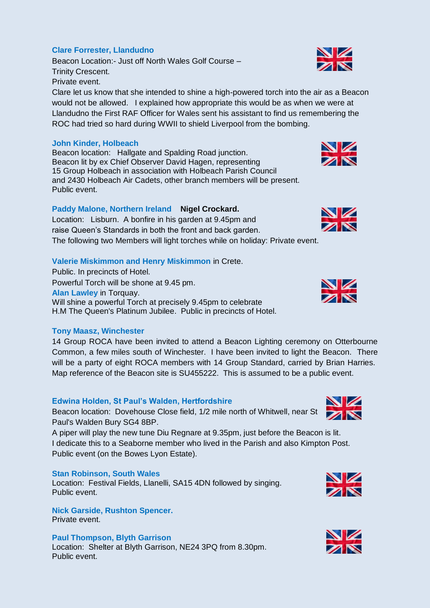# **Clare Forrester, Llandudno**

Beacon Location:- Just off North Wales Golf Course – Trinity Crescent. Private event.

Clare let us know that she intended to shine a high-powered torch into the air as a Beacon would not be allowed. I explained how appropriate this would be as when we were at Llandudno the First RAF Officer for Wales sent his assistant to find us remembering the ROC had tried so hard during WWII to shield Liverpool from the bombing.

## **John Kinder, Holbeach**

Beacon location: Hallgate and Spalding Road junction. Beacon lit by ex Chief Observer David Hagen, representing 15 Group Holbeach in association with Holbeach Parish Council and 2430 Holbeach Air Cadets, other branch members will be present. Public event.

# **Paddy Malone, Northern Ireland Nigel Crockard.**

Location:Lisburn. A bonfire in his garden at 9.45pm and raise Queen's Standards in both the front and back garden.

The following two Members will light torches while on holiday: Private event.

## **Valerie Miskimmon and Henry Miskimmon** in Crete.

Public. In precincts of Hotel. Powerful Torch will be shone at 9.45 pm. **Alan Lawley** in Torquay. Will shine a powerful Torch at precisely 9.45pm to celebrate H.M The Queen's Platinum Jubilee. Public in precincts of Hotel.

## **Tony Maasz, Winchester**

14 Group ROCA have been invited to attend a Beacon Lighting ceremony on Otterbourne Common, a few miles south of Winchester. I have been invited to light the Beacon. There will be a party of eight ROCA members with 14 Group Standard, carried by Brian Harries. Map reference of the Beacon site is SU455222. This is assumed to be a public event.

## **Edwina Holden, St Paul's Walden, Hertfordshire**

Beacon location: Dovehouse Close field, 1/2 mile north of Whitwell, near St Paul's Walden Bury SG4 8BP.

A piper will play the new tune Diu Regnare at 9.35pm, just before the Beacon is lit. I dedicate this to a Seaborne member who lived in the Parish and also Kimpton Post. Public event (on the Bowes Lyon Estate).

## **Stan Robinson, South Wales**

Location: Festival Fields, Llanelli, SA15 4DN followed by singing. Public event.

**Nick Garside, Rushton Spencer.** Private event.

## **Paul Thompson, Blyth Garrison**

Location: Shelter at Blyth Garrison, NE24 3PQ from 8.30pm. Public event.



VZ ZN